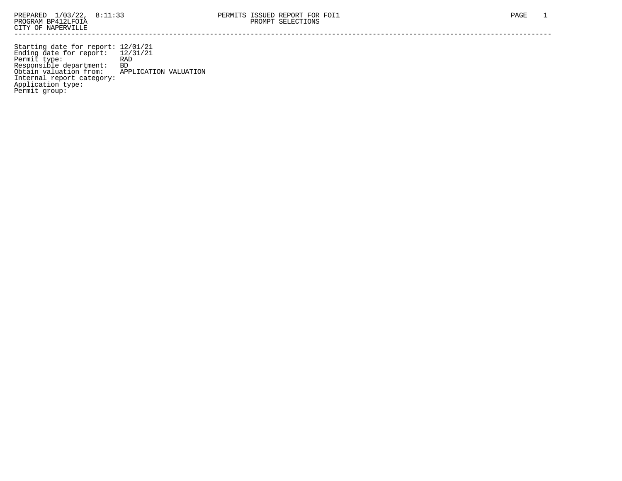Starting date for report: 12/01/21 Ending date for report: 12/31/21 Permit type: RAD Responsible department: BD Obtain valuation from: APPLICATION VALUATION Internal report category: Application type: Permit group: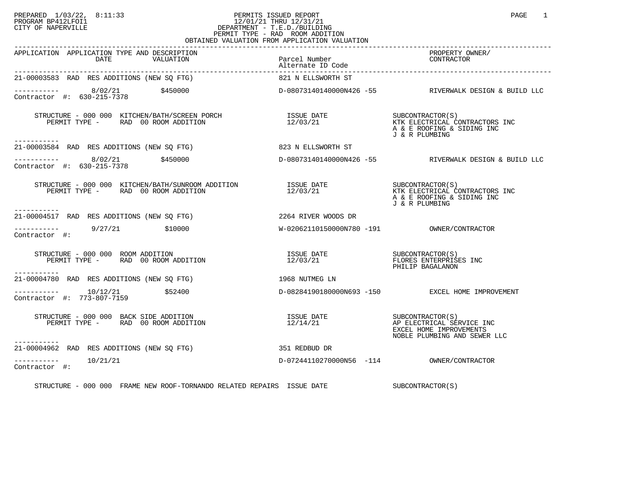## PREPARED 1/03/22, 8:11:33 PERMITS ISSUED REPORT<br>PROGRAM BP412LFOI1 PAGE 1 PROGRAM BP412LFOI1 12/01/21 THRU 12/31/21 CITY OF NAPERVILLE **Example 20** CITY OF NAPERVILLE PERMIT TYPE - RAD ROOM ADDITION OBTAINED VALUATION FROM APPLICATION VALUATION

| APPLICATION APPLICATION TYPE AND DESCRIPTION<br>DATE<br>VALUATION                                                                                                                                                                                                                                                                                                                                        | Parcel Number<br>Altre Company<br>Alternate ID Code | PROPERTY OWNER/<br>PRUPERII UN<br>CONTRACTOR                                                             |
|----------------------------------------------------------------------------------------------------------------------------------------------------------------------------------------------------------------------------------------------------------------------------------------------------------------------------------------------------------------------------------------------------------|-----------------------------------------------------|----------------------------------------------------------------------------------------------------------|
| 21-00003583 RAD RES ADDITIONS (NEW SQ FTG)                                                                                                                                                                                                                                                                                                                                                               | 821 N ELLSWORTH ST                                  |                                                                                                          |
| $\frac{8}{02/21}$ \$450000<br>Contractor #: 630-215-7378                                                                                                                                                                                                                                                                                                                                                 |                                                     | D-08073140140000N426 -55 RIVERWALK DESIGN & BUILD LLC                                                    |
| STRUCTURE - 000 000 KITCHEN/BATH/SCREEN PORCH<br>PERMIT TYPE -          RAD   00  ROOM ADDITION<br>PERMIT TYPE - RAD 00 ROOM ADDITION<br>-----------                                                                                                                                                                                                                                                     | ISSUE DATE<br>12/03/21                              | SUBCONTRACTOR (S)<br>KTK ELECTRICAL CONTRACTORS INC<br>A & E ROOFING & SIDING INC<br>J & R PLUMBING      |
| 21-00003584 RAD RES ADDITIONS (NEW SO FTG)                                                                                                                                                                                                                                                                                                                                                               | 823 N ELLSWORTH ST                                  |                                                                                                          |
| $\frac{1}{2}$ = $\frac{1}{2}$ = $\frac{1}{2}$ = $\frac{8}{22}$ = $\frac{8}{21}$ = $\frac{7}{27}$ = $\frac{3450000}{21}$<br>Contractor #: 630-215-7378                                                                                                                                                                                                                                                    |                                                     | D-08073140140000N426 -55 RIVERWALK DESIGN & BUILD LLC                                                    |
| $\begin{array}{cccc} \texttt{STRUCTURE} & - & 000 & 000 & \texttt{KITCHEN/BATH/SUNROOM ADDITION} \\ \texttt{PERMIT TYPE} & - & \texttt{RAD} & 00\texttt{ ROM} \texttt{ADDITION} \\ \end{array} \qquad \begin{array}{cccc} \texttt{ISSUE} & \texttt{DATE} \\ 12/03/21 & \texttt{MTK} & \texttt{ELECTRICAL} \end{array} \qquad \begin{array}{cccc} \texttt{CONTRACTOR} \\ \texttt{CONTRACTOR} \end{array}$ |                                                     | KTK ELECTRICAL CONTRACTORS INC<br>A & E ROOFING & SIDING INC<br>J & R PLUMBING                           |
| ------------<br>21-00004517 RAD RES ADDITIONS (NEW SQ FTG) 2264 RIVER WOODS DR                                                                                                                                                                                                                                                                                                                           |                                                     |                                                                                                          |
| ---------- 9/27/21 \$10000<br>Contractor #:                                                                                                                                                                                                                                                                                                                                                              |                                                     |                                                                                                          |
| STRUCTURE - 000 000 ROOM ADDITION<br>PERMIT TYPE - RAD 00 ROOM ADDITION<br>-----------                                                                                                                                                                                                                                                                                                                   | 12/03/21                                            | FLORES ENTERPRISES INC<br>PHILIP BAGALANON                                                               |
| 21-00004780 RAD RES ADDITIONS (NEW SQ FTG)                                                                                                                                                                                                                                                                                                                                                               | 1968 NUTMEG LN                                      |                                                                                                          |
| $--------- 10/12/21$ \$52400<br>Contractor #: 773-807-7159                                                                                                                                                                                                                                                                                                                                               |                                                     | D-08284190180000N693 -150 EXCEL HOME IMPROVEMENT                                                         |
| STRUCTURE - 000 000 BACK SIDE ADDITION<br>PERMIT TYPE - RAD 00 ROOM ADDITION                                                                                                                                                                                                                                                                                                                             | ISSUE DATE<br>12/14/21                              | SUBCONTRACTOR(S)<br>AP ELECTRICAL SERVICE INC<br>EXCEL HOME IMPROVEMENTS<br>NOBLE PLUMBING AND SEWER LLC |
| -----------<br>21-00004962 RAD RES ADDITIONS (NEW SQ FTG)                                                                                                                                                                                                                                                                                                                                                | 351 REDBUD DR                                       |                                                                                                          |
| $--------$ 10/21/21<br>Contractor #:                                                                                                                                                                                                                                                                                                                                                                     | D-07244110270000N56 -114 OWNER/CONTRACTOR           |                                                                                                          |
| STRUCTURE - 000 000 FRAME NEW ROOF-TORNANDO RELATED REPAIRS ISSUE DATE                                                                                                                                                                                                                                                                                                                                   |                                                     | SUBCONTRACTOR(S)                                                                                         |